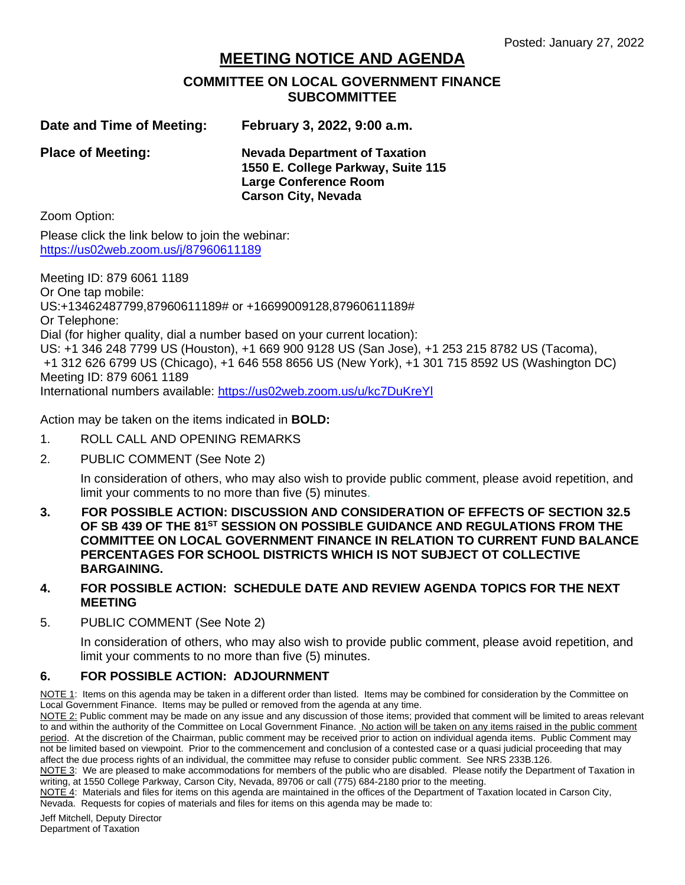## **MEETING NOTICE AND AGENDA**

## **COMMITTEE ON LOCAL GOVERNMENT FINANCE SUBCOMMITTEE**

**Date and Time of Meeting: February 3, 2022, 9:00 a.m.**

**Place of Meeting: Nevada Department of Taxation 1550 E. College Parkway, Suite 115 Large Conference Room Carson City, Nevada**

Zoom Option:

Please click the link below to join the webinar: <https://us02web.zoom.us/j/87960611189>

Meeting ID: 879 6061 1189 Or One tap mobile: US:+13462487799,87960611189# or +16699009128,87960611189# Or Telephone: Dial (for higher quality, dial a number based on your current location): US: +1 346 248 7799 US (Houston), +1 669 900 9128 US (San Jose), +1 253 215 8782 US (Tacoma), +1 312 626 6799 US (Chicago), +1 646 558 8656 US (New York), +1 301 715 8592 US (Washington DC) Meeting ID: 879 6061 1189 International numbers available:<https://us02web.zoom.us/u/kc7DuKreYl>

Action may be taken on the items indicated in **BOLD:**

- 1. ROLL CALL AND OPENING REMARKS
- 2. PUBLIC COMMENT (See Note 2)

In consideration of others, who may also wish to provide public comment, please avoid repetition, and limit your comments to no more than five (5) minutes.

- **3. FOR POSSIBLE ACTION: DISCUSSION AND CONSIDERATION OF EFFECTS OF SECTION 32.5 OF SB 439 OF THE 81<sup>ST</sup> SESSION ON POSSIBLE GUIDANCE AND REGULATIONS FROM THE COMMITTEE ON LOCAL GOVERNMENT FINANCE IN RELATION TO CURRENT FUND BALANCE PERCENTAGES FOR SCHOOL DISTRICTS WHICH IS NOT SUBJECT OT COLLECTIVE BARGAINING.**
- **4. FOR POSSIBLE ACTION: SCHEDULE DATE AND REVIEW AGENDA TOPICS FOR THE NEXT MEETING**
- 5. PUBLIC COMMENT (See Note 2)

In consideration of others, who may also wish to provide public comment, please avoid repetition, and limit your comments to no more than five (5) minutes.

## **6. FOR POSSIBLE ACTION: ADJOURNMENT**

NOTE 1: Items on this agenda may be taken in a different order than listed. Items may be combined for consideration by the Committee on Local Government Finance. Items may be pulled or removed from the agenda at any time.

NOTE 2: Public comment may be made on any issue and any discussion of those items; provided that comment will be limited to areas relevant to and within the authority of the Committee on Local Government Finance. No action will be taken on any items raised in the public comment period. At the discretion of the Chairman, public comment may be received prior to action on individual agenda items. Public Comment may not be limited based on viewpoint. Prior to the commencement and conclusion of a contested case or a quasi judicial proceeding that may affect the due process rights of an individual, the committee may refuse to consider public comment. See NRS 233B.126.

NOTE 3: We are pleased to make accommodations for members of the public who are disabled. Please notify the Department of Taxation in writing, at 1550 College Parkway, Carson City, Nevada, 89706 or call (775) 684-2180 prior to the meeting.

NOTE 4: Materials and files for items on this agenda are maintained in the offices of the Department of Taxation located in Carson City, Nevada. Requests for copies of materials and files for items on this agenda may be made to:

Jeff Mitchell, Deputy Director Department of Taxation